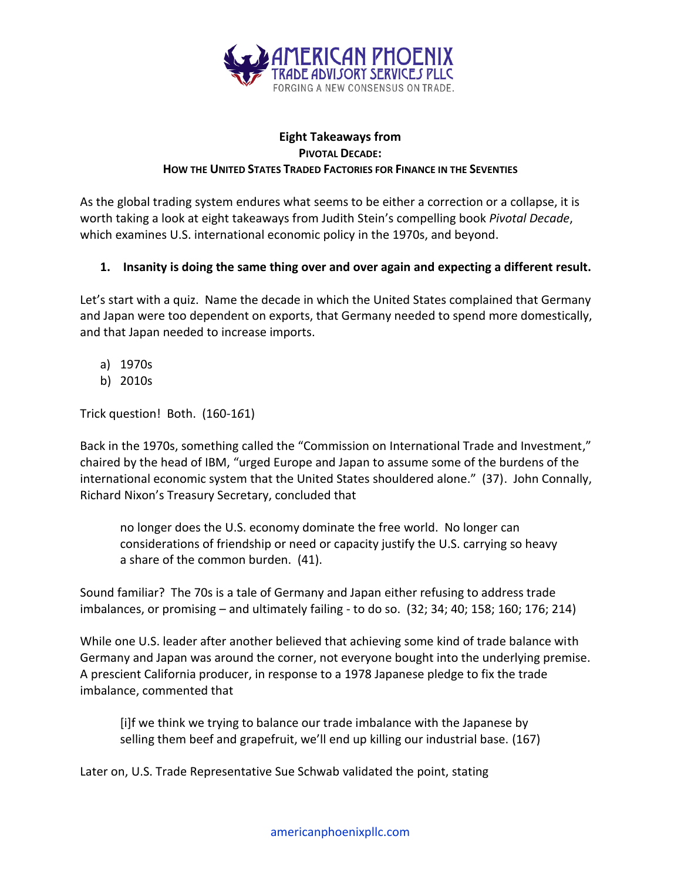

#### **Eight Takeaways from PIVOTAL DECADE: HOW THE UNITED STATES TRADED FACTORIES FOR FINANCE IN THE SEVENTIES**

As the global trading system endures what seems to be either a correction or a collapse, it is worth taking a look at eight takeaways from Judith Stein's compelling book *Pivotal Decade*, which examines U.S. international economic policy in the 1970s, and beyond.

#### **1. Insanity is doing the same thing over and over again and expecting a different result.**

Let's start with a quiz. Name the decade in which the United States complained that Germany and Japan were too dependent on exports, that Germany needed to spend more domestically, and that Japan needed to increase imports.

- a) 1970s
- b) 2010s

Trick question! Both. (160-1*6*1)

Back in the 1970s, something called the "Commission on International Trade and Investment," chaired by the head of IBM, "urged Europe and Japan to assume some of the burdens of the international economic system that the United States shouldered alone." (37). John Connally, Richard Nixon's Treasury Secretary, concluded that

no longer does the U.S. economy dominate the free world. No longer can considerations of friendship or need or capacity justify the U.S. carrying so heavy a share of the common burden. (41).

Sound familiar? The 70s is a tale of Germany and Japan either refusing to address trade imbalances, or promising – and ultimately failing - to do so. (32; 34; 40; 158; 160; 176; 214)

While one U.S. leader after another believed that achieving some kind of trade balance with Germany and Japan was around the corner, not everyone bought into the underlying premise. A prescient California producer, in response to a 1978 Japanese pledge to fix the trade imbalance, commented that

[i]f we think we trying to balance our trade imbalance with the Japanese by selling them beef and grapefruit, we'll end up killing our industrial base. (167)

Later on, U.S. Trade Representative Sue Schwab validated the point, stating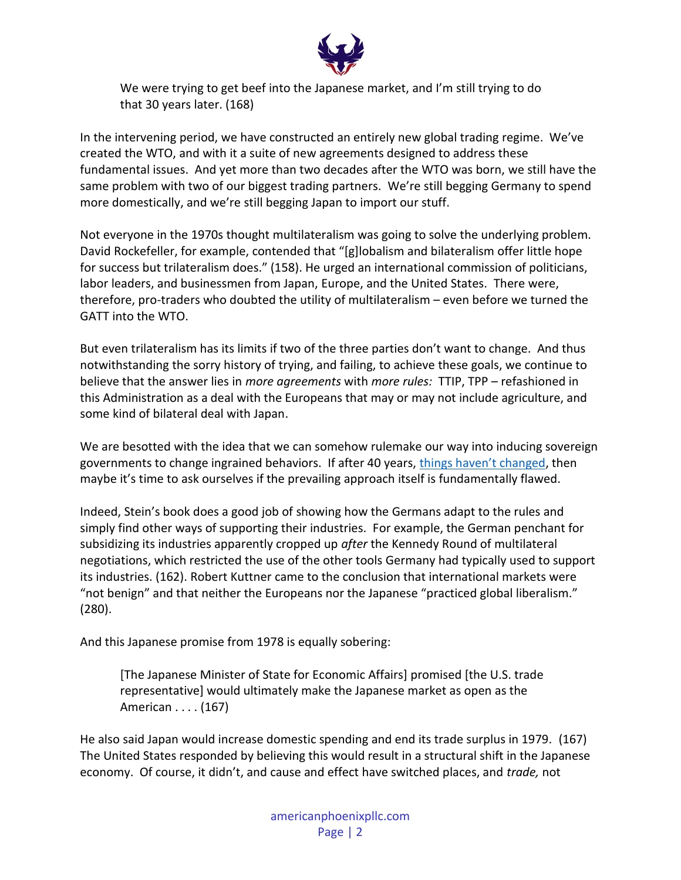

We were trying to get beef into the Japanese market, and I'm still trying to do that 30 years later. (168)

In the intervening period, we have constructed an entirely new global trading regime. We've created the WTO, and with it a suite of new agreements designed to address these fundamental issues. And yet more than two decades after the WTO was born, we still have the same problem with two of our biggest trading partners. We're still begging Germany to spend more domestically, and we're still begging Japan to import our stuff.

Not everyone in the 1970s thought multilateralism was going to solve the underlying problem. David Rockefeller, for example, contended that "[g]lobalism and bilateralism offer little hope for success but trilateralism does." (158). He urged an international commission of politicians, labor leaders, and businessmen from Japan, Europe, and the United States. There were, therefore, pro-traders who doubted the utility of multilateralism – even before we turned the GATT into the WTO.

But even trilateralism has its limits if two of the three parties don't want to change. And thus notwithstanding the sorry history of trying, and failing, to achieve these goals, we continue to believe that the answer lies in *more agreements* with *more rules:* TTIP, TPP – refashioned in this Administration as a deal with the Europeans that may or may not include agriculture, and some kind of bilateral deal with Japan.

We are besotted with the idea that we can somehow rulemake our way into inducing sovereign governments to change ingrained behaviors. If after 40 years, [things haven'](https://media1.tenor.com/images/c425a185e12513dc976f8d7940d05fcf/tenor.gif?itemid=5181084)t changed, then maybe it's time to ask ourselves if the prevailing approach itself is fundamentally flawed.

Indeed, Stein's book does a good job of showing how the Germans adapt to the rules and simply find other ways of supporting their industries. For example, the German penchant for subsidizing its industries apparently cropped up *after* the Kennedy Round of multilateral negotiations, which restricted the use of the other tools Germany had typically used to support its industries. (162). Robert Kuttner came to the conclusion that international markets were "not benign" and that neither the Europeans nor the Japanese "practiced global liberalism." (280).

And this Japanese promise from 1978 is equally sobering:

[The Japanese Minister of State for Economic Affairs] promised [the U.S. trade representative] would ultimately make the Japanese market as open as the American . . . . (167)

He also said Japan would increase domestic spending and end its trade surplus in 1979. (167) The United States responded by believing this would result in a structural shift in the Japanese economy. Of course, it didn't, and cause and effect have switched places, and *trade,* not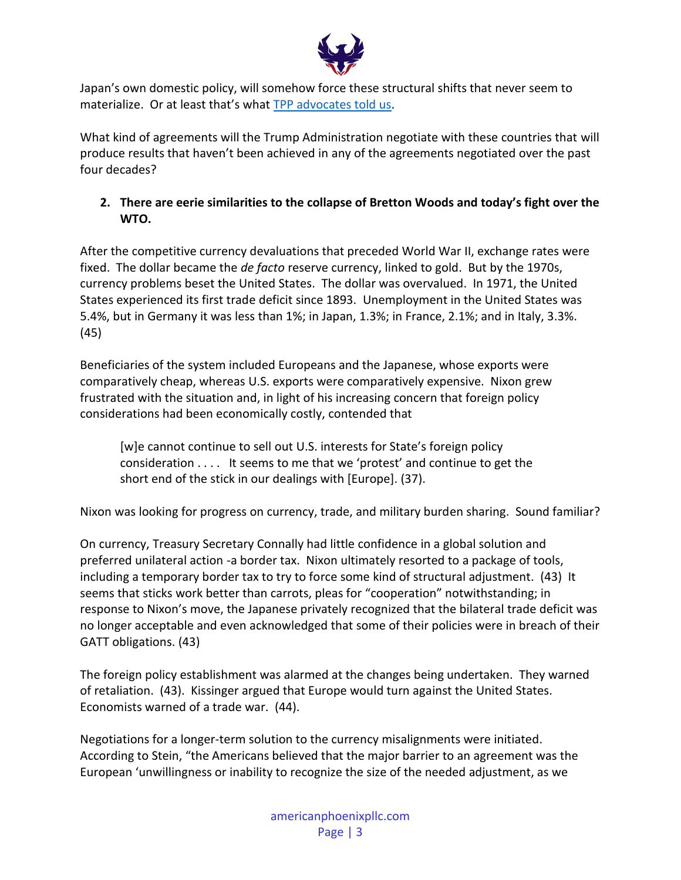

Japan's own domestic policy, will somehow force these structural shifts that never seem to materialize. Or at least that's what [TPP advocates told us.](https://thediplomat.com/2013/08/the-tpp-abenomics-and-americas-asia-pivot/2/)

What kind of agreements will the Trump Administration negotiate with these countries that will produce results that haven't been achieved in any of the agreements negotiated over the past four decades?

# **2. There are eerie similarities to the collapse of Bretton Woods and today's fight over the WTO.**

After the competitive currency devaluations that preceded World War II, exchange rates were fixed. The dollar became the *de facto* reserve currency, linked to gold. But by the 1970s, currency problems beset the United States. The dollar was overvalued. In 1971, the United States experienced its first trade deficit since 1893. Unemployment in the United States was 5.4%, but in Germany it was less than 1%; in Japan, 1.3%; in France, 2.1%; and in Italy, 3.3%. (45)

Beneficiaries of the system included Europeans and the Japanese, whose exports were comparatively cheap, whereas U.S. exports were comparatively expensive. Nixon grew frustrated with the situation and, in light of his increasing concern that foreign policy considerations had been economically costly, contended that

[w]e cannot continue to sell out U.S. interests for State's foreign policy consideration . . . . It seems to me that we 'protest' and continue to get the short end of the stick in our dealings with [Europe]. (37).

Nixon was looking for progress on currency, trade, and military burden sharing. Sound familiar?

On currency, Treasury Secretary Connally had little confidence in a global solution and preferred unilateral action -a border tax. Nixon ultimately resorted to a package of tools, including a temporary border tax to try to force some kind of structural adjustment. (43) It seems that sticks work better than carrots, pleas for "cooperation" notwithstanding; in response to Nixon's move, the Japanese privately recognized that the bilateral trade deficit was no longer acceptable and even acknowledged that some of their policies were in breach of their GATT obligations. (43)

The foreign policy establishment was alarmed at the changes being undertaken. They warned of retaliation. (43). Kissinger argued that Europe would turn against the United States. Economists warned of a trade war. (44).

Negotiations for a longer-term solution to the currency misalignments were initiated. According to Stein, "the Americans believed that the major barrier to an agreement was the European 'unwillingness or inability to recognize the size of the needed adjustment, as we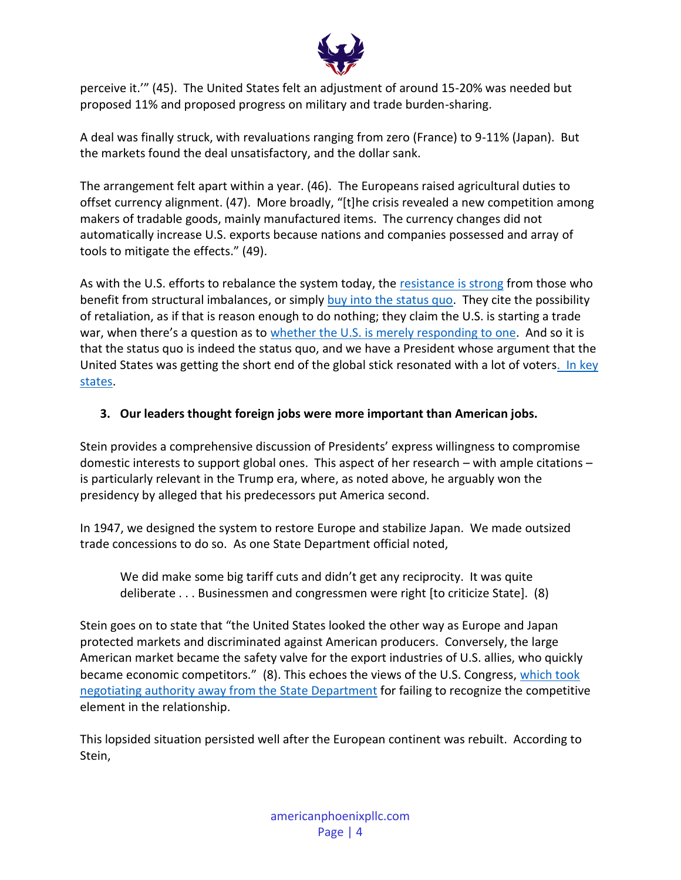

perceive it.'" (45). The United States felt an adjustment of around 15-20% was needed but proposed 11% and proposed progress on military and trade burden-sharing.

A deal was finally struck, with revaluations ranging from zero (France) to 9-11% (Japan). But the markets found the deal unsatisfactory, and the dollar sank.

The arrangement felt apart within a year. (46). The Europeans raised agricultural duties to offset currency alignment. (47). More broadly, "[t]he crisis revealed a new competition among makers of tradable goods, mainly manufactured items. The currency changes did not automatically increase U.S. exports because nations and companies possessed and array of tools to mitigate the effects." (49).

As with the U.S. efforts to rebalance the system today, the [resistance is strong](http://americanphoenixpllc.com/atlas-shrugged) from those who benefit from structural imbalances, or simply [buy into the status quo.](http://americanphoenixpllc.com/pain-free-solution-trade-crisis) They cite the possibility of retaliation, as if that is reason enough to do nothing; they claim the U.S. is starting a trade war, when there's a question as to [whether the U.S. is merely responding to](https://www.politico.com/newsletters/morning-money/2018/07/10/why-dont-markets-care-about-the-trade-war-274946) one. And so it is that the status quo is indeed the status quo, and we have a President whose argument that the United States was getting the short end of the global stick resonated with a lot of voter[s. In key](http://americanphoenixpllc.com/trump-administration-mad-wto)  [states.](http://americanphoenixpllc.com/trump-administration-mad-wto)

### **3. Our leaders thought foreign jobs were more important than American jobs.**

Stein provides a comprehensive discussion of Presidents' express willingness to compromise domestic interests to support global ones. This aspect of her research – with ample citations – is particularly relevant in the Trump era, where, as noted above, he arguably won the presidency by alleged that his predecessors put America second.

In 1947, we designed the system to restore Europe and stabilize Japan. We made outsized trade concessions to do so. As one State Department official noted,

We did make some big tariff cuts and didn't get any reciprocity. It was quite deliberate . . . Businessmen and congressmen were right [to criticize State]. (8)

Stein goes on to state that "the United States looked the other way as Europe and Japan protected markets and discriminated against American producers. Conversely, the large American market became the safety valve for the export industries of U.S. allies, who quickly became economic competitors." (8). This echoes the views of the U.S. Congress, which took [negotiating authority away from the State Department](http://americanphoenixpllc.com/the-china-meme) for failing to recognize the competitive element in the relationship.

This lopsided situation persisted well after the European continent was rebuilt. According to Stein,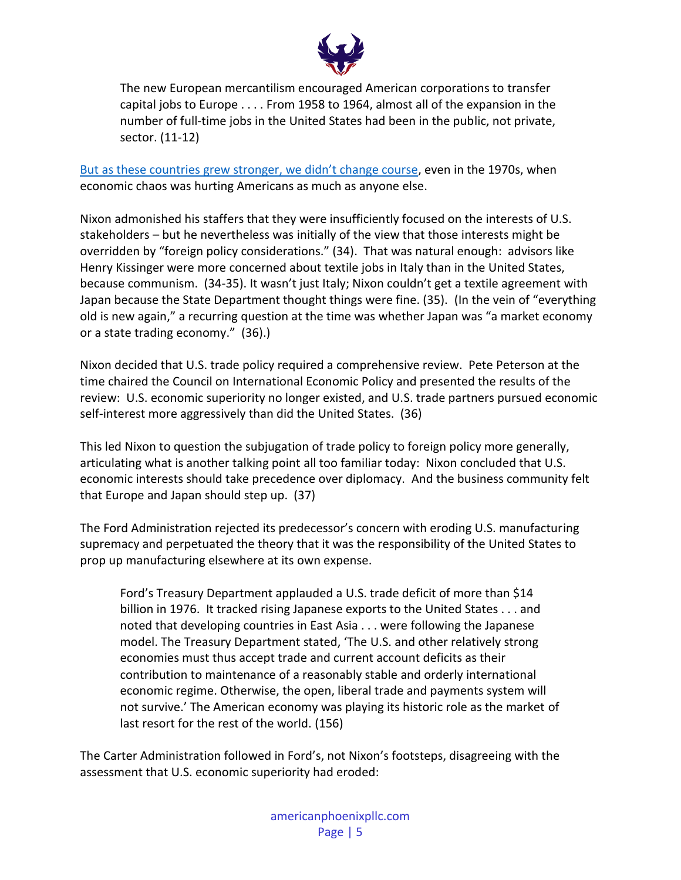

The new European mercantilism encouraged American corporations to transfer capital jobs to Europe . . . . From 1958 to 1964, almost all of the expansion in the number of full-time jobs in the United States had been in the public, not private, sector. (11-12)

[But as these countries grew stronger, we didn't change course](http://www.latimes.com/opinion/op-ed/la-oe-baltzan-eu-tariff-hypocrisy-20180726-story.html), even in the 1970s, when economic chaos was hurting Americans as much as anyone else.

Nixon admonished his staffers that they were insufficiently focused on the interests of U.S. stakeholders – but he nevertheless was initially of the view that those interests might be overridden by "foreign policy considerations." (34). That was natural enough: advisors like Henry Kissinger were more concerned about textile jobs in Italy than in the United States, because communism. (34-35). It wasn't just Italy; Nixon couldn't get a textile agreement with Japan because the State Department thought things were fine. (35). (In the vein of "everything old is new again," a recurring question at the time was whether Japan was "a market economy or a state trading economy." (36).)

Nixon decided that U.S. trade policy required a comprehensive review. Pete Peterson at the time chaired the Council on International Economic Policy and presented the results of the review: U.S. economic superiority no longer existed, and U.S. trade partners pursued economic self-interest more aggressively than did the United States. (36)

This led Nixon to question the subjugation of trade policy to foreign policy more generally, articulating what is another talking point all too familiar today: Nixon concluded that U.S. economic interests should take precedence over diplomacy. And the business community felt that Europe and Japan should step up. (37)

The Ford Administration rejected its predecessor's concern with eroding U.S. manufacturing supremacy and perpetuated the theory that it was the responsibility of the United States to prop up manufacturing elsewhere at its own expense.

Ford's Treasury Department applauded a U.S. trade deficit of more than \$14 billion in 1976. It tracked rising Japanese exports to the United States . . . and noted that developing countries in East Asia . . . were following the Japanese model. The Treasury Department stated, 'The U.S. and other relatively strong economies must thus accept trade and current account deficits as their contribution to maintenance of a reasonably stable and orderly international economic regime. Otherwise, the open, liberal trade and payments system will not survive.' The American economy was playing its historic role as the market of last resort for the rest of the world. (156)

The Carter Administration followed in Ford's, not Nixon's footsteps, disagreeing with the assessment that U.S. economic superiority had eroded: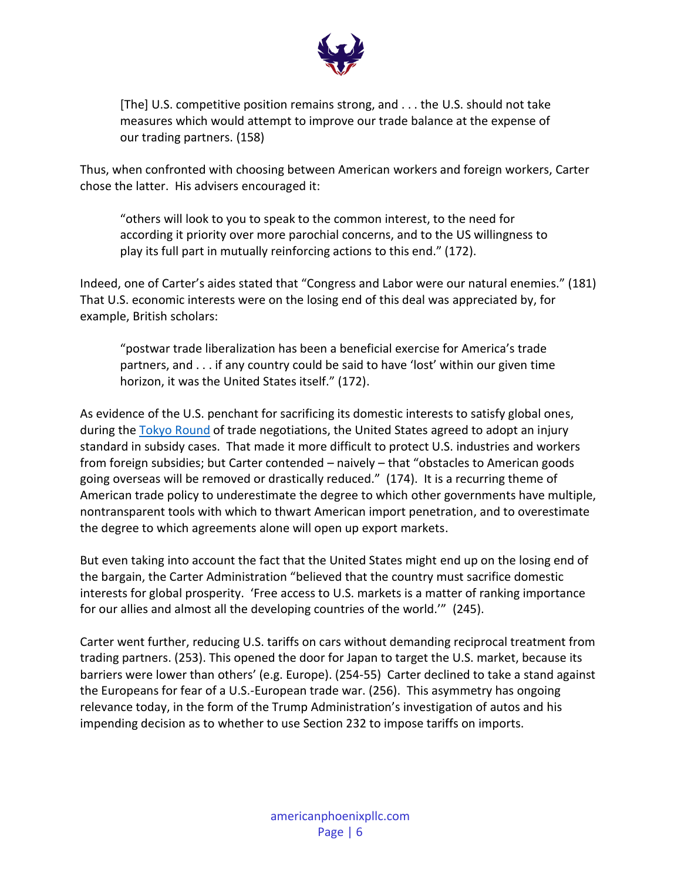

[The] U.S. competitive position remains strong, and . . . the U.S. should not take measures which would attempt to improve our trade balance at the expense of our trading partners. (158)

Thus, when confronted with choosing between American workers and foreign workers, Carter chose the latter. His advisers encouraged it:

"others will look to you to speak to the common interest, to the need for according it priority over more parochial concerns, and to the US willingness to play its full part in mutually reinforcing actions to this end." (172).

Indeed, one of Carter's aides stated that "Congress and Labor were our natural enemies." (181) That U.S. economic interests were on the losing end of this deal was appreciated by, for example, British scholars:

"postwar trade liberalization has been a beneficial exercise for America's trade partners, and . . . if any country could be said to have 'lost' within our given time horizon, it was the United States itself." (172).

As evidence of the U.S. penchant for sacrificing its domestic interests to satisfy global ones, during the [Tokyo Round](https://www.wto.org/english/thewto_e/whatis_e/tif_e/fact4_e.htm) of trade negotiations, the United States agreed to adopt an injury standard in subsidy cases. That made it more difficult to protect U.S. industries and workers from foreign subsidies; but Carter contended – naively – that "obstacles to American goods going overseas will be removed or drastically reduced." (174). It is a recurring theme of American trade policy to underestimate the degree to which other governments have multiple, nontransparent tools with which to thwart American import penetration, and to overestimate the degree to which agreements alone will open up export markets.

But even taking into account the fact that the United States might end up on the losing end of the bargain, the Carter Administration "believed that the country must sacrifice domestic interests for global prosperity. 'Free access to U.S. markets is a matter of ranking importance for our allies and almost all the developing countries of the world.'" (245).

Carter went further, reducing U.S. tariffs on cars without demanding reciprocal treatment from trading partners. (253). This opened the door for Japan to target the U.S. market, because its barriers were lower than others' (e.g. Europe). (254-55) Carter declined to take a stand against the Europeans for fear of a U.S.-European trade war. (256). This asymmetry has ongoing relevance today, in the form of the Trump Administration's investigation of autos and his impending decision as to whether to use Section 232 to impose tariffs on imports.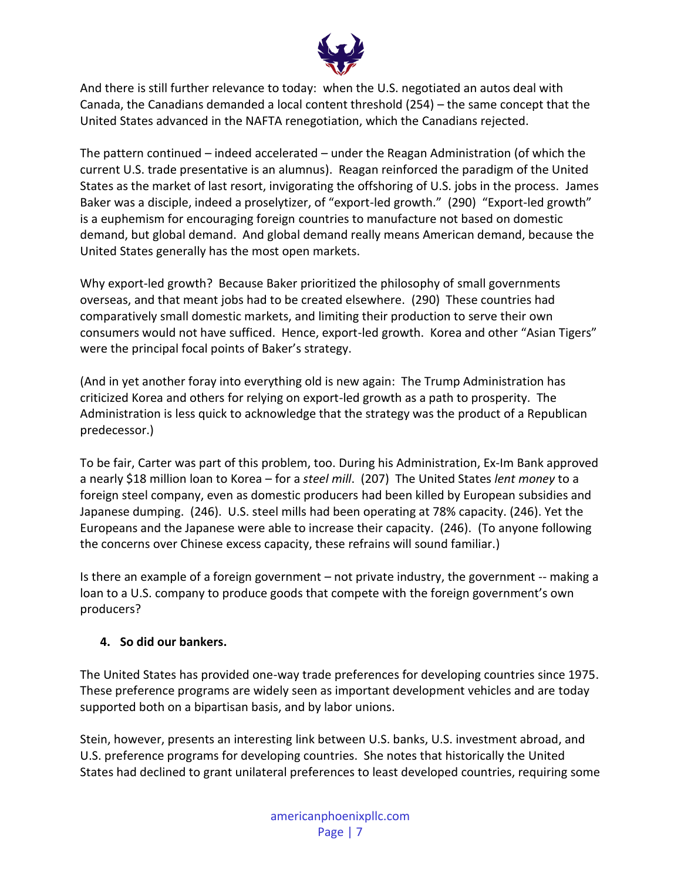

And there is still further relevance to today: when the U.S. negotiated an autos deal with Canada, the Canadians demanded a local content threshold (254) – the same concept that the United States advanced in the NAFTA renegotiation, which the Canadians rejected.

The pattern continued – indeed accelerated – under the Reagan Administration (of which the current U.S. trade presentative is an alumnus). Reagan reinforced the paradigm of the United States as the market of last resort, invigorating the offshoring of U.S. jobs in the process. James Baker was a disciple, indeed a proselytizer, of "export-led growth." (290) "Export-led growth" is a euphemism for encouraging foreign countries to manufacture not based on domestic demand, but global demand. And global demand really means American demand, because the United States generally has the most open markets.

Why export-led growth? Because Baker prioritized the philosophy of small governments overseas, and that meant jobs had to be created elsewhere. (290) These countries had comparatively small domestic markets, and limiting their production to serve their own consumers would not have sufficed. Hence, export-led growth. Korea and other "Asian Tigers" were the principal focal points of Baker's strategy.

(And in yet another foray into everything old is new again: The Trump Administration has criticized Korea and others for relying on export-led growth as a path to prosperity. The Administration is less quick to acknowledge that the strategy was the product of a Republican predecessor.)

To be fair, Carter was part of this problem, too. During his Administration, Ex-Im Bank approved a nearly \$18 million loan to Korea – for a *steel mill*. (207) The United States *lent money* to a foreign steel company, even as domestic producers had been killed by European subsidies and Japanese dumping. (246). U.S. steel mills had been operating at 78% capacity. (246). Yet the Europeans and the Japanese were able to increase their capacity. (246). (To anyone following the concerns over Chinese excess capacity, these refrains will sound familiar.)

Is there an example of a foreign government – not private industry, the government -- making a loan to a U.S. company to produce goods that compete with the foreign government's own producers?

# **4. So did our bankers.**

The United States has provided one-way trade preferences for developing countries since 1975. These preference programs are widely seen as important development vehicles and are today supported both on a bipartisan basis, and by labor unions.

Stein, however, presents an interesting link between U.S. banks, U.S. investment abroad, and U.S. preference programs for developing countries. She notes that historically the United States had declined to grant unilateral preferences to least developed countries, requiring some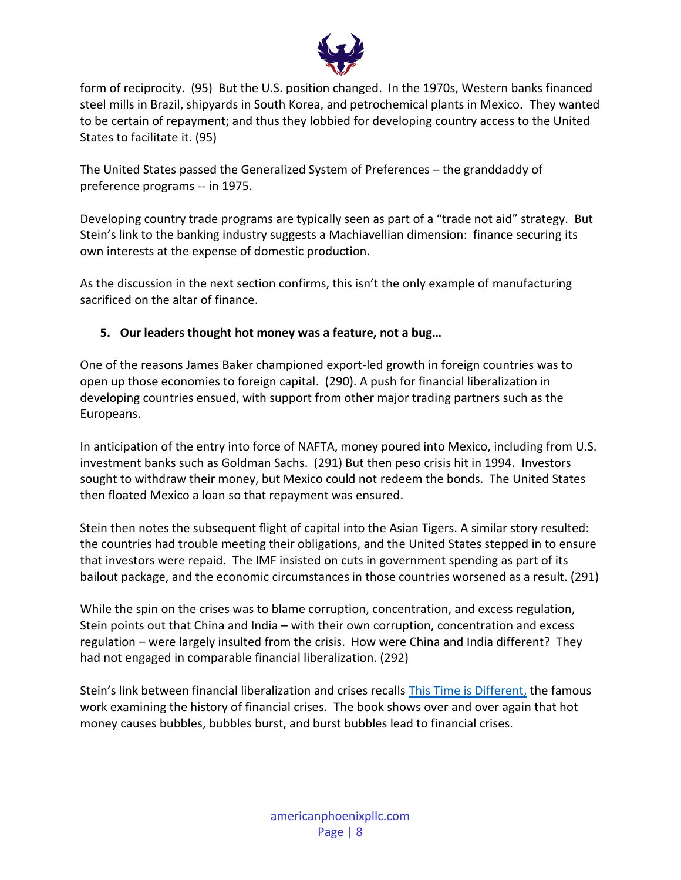

form of reciprocity. (95) But the U.S. position changed. In the 1970s, Western banks financed steel mills in Brazil, shipyards in South Korea, and petrochemical plants in Mexico. They wanted to be certain of repayment; and thus they lobbied for developing country access to the United States to facilitate it. (95)

The United States passed the Generalized System of Preferences – the granddaddy of preference programs -- in 1975.

Developing country trade programs are typically seen as part of a "trade not aid" strategy. But Stein's link to the banking industry suggests a Machiavellian dimension: finance securing its own interests at the expense of domestic production.

As the discussion in the next section confirms, this isn't the only example of manufacturing sacrificed on the altar of finance.

# **5. Our leaders thought hot money was a feature, not a bug…**

One of the reasons James Baker championed export-led growth in foreign countries was to open up those economies to foreign capital. (290). A push for financial liberalization in developing countries ensued, with support from other major trading partners such as the Europeans.

In anticipation of the entry into force of NAFTA, money poured into Mexico, including from U.S. investment banks such as Goldman Sachs. (291) But then peso crisis hit in 1994. Investors sought to withdraw their money, but Mexico could not redeem the bonds. The United States then floated Mexico a loan so that repayment was ensured.

Stein then notes the subsequent flight of capital into the Asian Tigers. A similar story resulted: the countries had trouble meeting their obligations, and the United States stepped in to ensure that investors were repaid. The IMF insisted on cuts in government spending as part of its bailout package, and the economic circumstances in those countries worsened as a result. (291)

While the spin on the crises was to blame corruption, concentration, and excess regulation, Stein points out that China and India – with their own corruption, concentration and excess regulation – were largely insulted from the crisis. How were China and India different? They had not engaged in comparable financial liberalization. (292)

Stein's link between financial liberalization and crises recalls [This Time is Different,](http://www.reinhartandrogoff.com/) the famous work examining the history of financial crises. The book shows over and over again that hot money causes bubbles, bubbles burst, and burst bubbles lead to financial crises.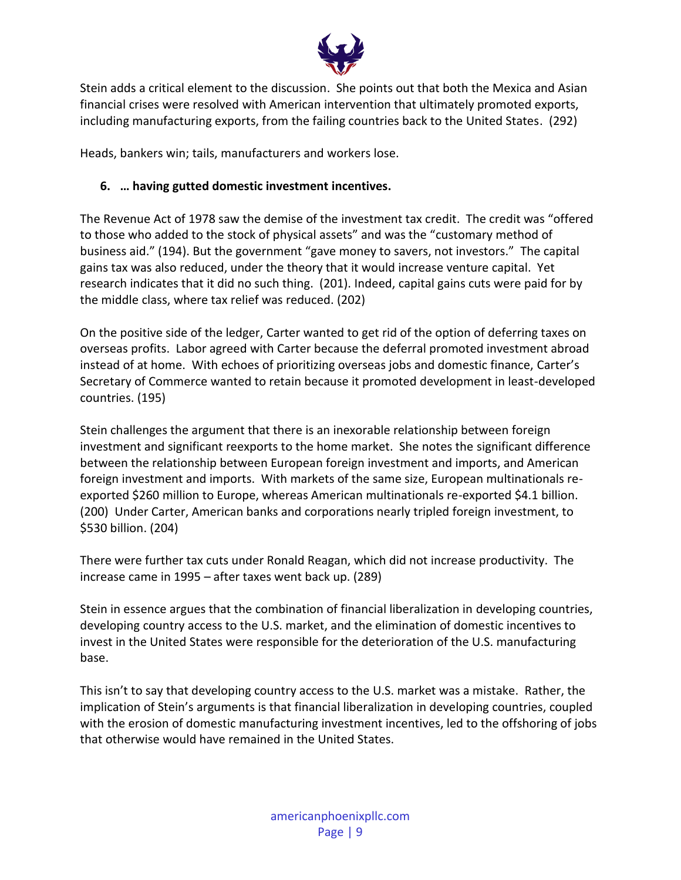

Stein adds a critical element to the discussion. She points out that both the Mexica and Asian financial crises were resolved with American intervention that ultimately promoted exports, including manufacturing exports, from the failing countries back to the United States. (292)

Heads, bankers win; tails, manufacturers and workers lose.

### **6. … having gutted domestic investment incentives.**

The Revenue Act of 1978 saw the demise of the investment tax credit. The credit was "offered to those who added to the stock of physical assets" and was the "customary method of business aid." (194). But the government "gave money to savers, not investors." The capital gains tax was also reduced, under the theory that it would increase venture capital. Yet research indicates that it did no such thing. (201). Indeed, capital gains cuts were paid for by the middle class, where tax relief was reduced. (202)

On the positive side of the ledger, Carter wanted to get rid of the option of deferring taxes on overseas profits. Labor agreed with Carter because the deferral promoted investment abroad instead of at home. With echoes of prioritizing overseas jobs and domestic finance, Carter's Secretary of Commerce wanted to retain because it promoted development in least-developed countries. (195)

Stein challenges the argument that there is an inexorable relationship between foreign investment and significant reexports to the home market. She notes the significant difference between the relationship between European foreign investment and imports, and American foreign investment and imports. With markets of the same size, European multinationals reexported \$260 million to Europe, whereas American multinationals re-exported \$4.1 billion. (200) Under Carter, American banks and corporations nearly tripled foreign investment, to \$530 billion. (204)

There were further tax cuts under Ronald Reagan, which did not increase productivity. The increase came in 1995 – after taxes went back up. (289)

Stein in essence argues that the combination of financial liberalization in developing countries, developing country access to the U.S. market, and the elimination of domestic incentives to invest in the United States were responsible for the deterioration of the U.S. manufacturing base.

This isn't to say that developing country access to the U.S. market was a mistake. Rather, the implication of Stein's arguments is that financial liberalization in developing countries, coupled with the erosion of domestic manufacturing investment incentives, led to the offshoring of jobs that otherwise would have remained in the United States.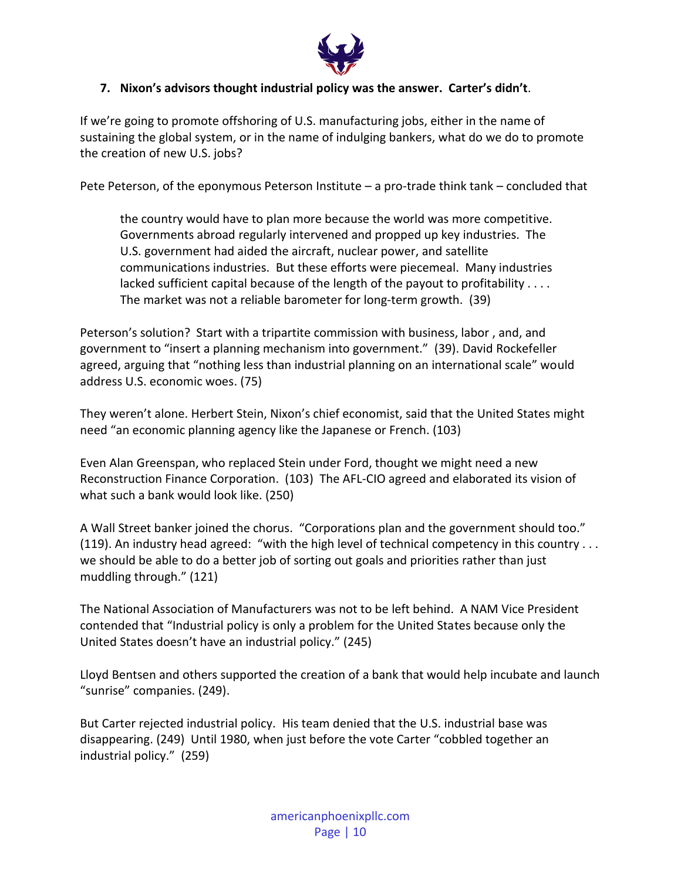

#### **7. Nixon's advisors thought industrial policy was the answer. Carter's didn't**.

If we're going to promote offshoring of U.S. manufacturing jobs, either in the name of sustaining the global system, or in the name of indulging bankers, what do we do to promote the creation of new U.S. jobs?

Pete Peterson, of the eponymous Peterson Institute – a pro-trade think tank – concluded that

the country would have to plan more because the world was more competitive. Governments abroad regularly intervened and propped up key industries. The U.S. government had aided the aircraft, nuclear power, and satellite communications industries. But these efforts were piecemeal. Many industries lacked sufficient capital because of the length of the payout to profitability . . . . The market was not a reliable barometer for long-term growth. (39)

Peterson's solution? Start with a tripartite commission with business, labor , and, and government to "insert a planning mechanism into government." (39). David Rockefeller agreed, arguing that "nothing less than industrial planning on an international scale" would address U.S. economic woes. (75)

They weren't alone. Herbert Stein, Nixon's chief economist, said that the United States might need "an economic planning agency like the Japanese or French. (103)

Even Alan Greenspan, who replaced Stein under Ford, thought we might need a new Reconstruction Finance Corporation. (103) The AFL-CIO agreed and elaborated its vision of what such a bank would look like. (250)

A Wall Street banker joined the chorus. "Corporations plan and the government should too." (119). An industry head agreed: "with the high level of technical competency in this country . . . we should be able to do a better job of sorting out goals and priorities rather than just muddling through." (121)

The National Association of Manufacturers was not to be left behind. A NAM Vice President contended that "Industrial policy is only a problem for the United States because only the United States doesn't have an industrial policy." (245)

Lloyd Bentsen and others supported the creation of a bank that would help incubate and launch "sunrise" companies. (249).

But Carter rejected industrial policy. His team denied that the U.S. industrial base was disappearing. (249) Until 1980, when just before the vote Carter "cobbled together an industrial policy." (259)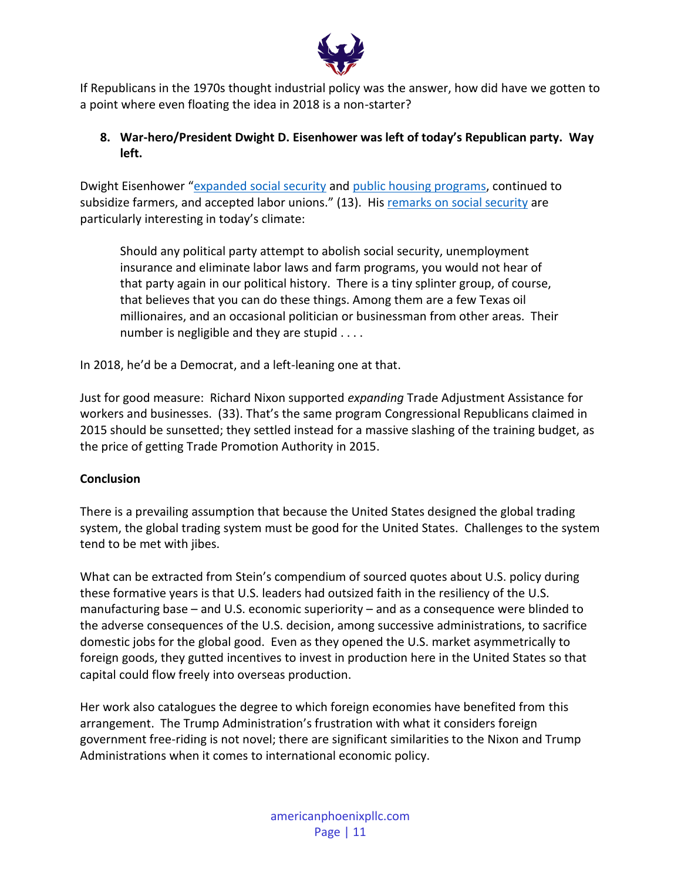

If Republicans in the 1970s thought industrial policy was the answer, how did have we gotten to a point where even floating the idea in 2018 is a non-starter?

# **8. War-hero/President Dwight D. Eisenhower was left of today's Republican party. Way left.**

Dwight Eisenhower "[expanded social security](https://www.politico.com/story/2018/09/01/eisenhower-approves-expanded-social-security-coverage-sept-1-1954-799178) and [public housing programs,](http://www.presidency.ucsb.edu/ws/index.php?pid=9952) continued to subsidize farmers, and accepted labor unions." (13). His [remarks on social security](https://www.theatlantic.com/daily-dish/archive/2011/02/quote-for-the-day-iii/175437/) are particularly interesting in today's climate:

Should any political party attempt to abolish social security, unemployment insurance and eliminate labor laws and farm programs, you would not hear of that party again in our political history. There is a tiny splinter group, of course, that believes that you can do these things. Among them are a few Texas oil millionaires, and an occasional politician or businessman from other areas. Their number is negligible and they are stupid . . . .

In 2018, he'd be a Democrat, and a left-leaning one at that.

Just for good measure: Richard Nixon supported *expanding* Trade Adjustment Assistance for workers and businesses. (33). That's the same program Congressional Republicans claimed in 2015 should be sunsetted; they settled instead for a massive slashing of the training budget, as the price of getting Trade Promotion Authority in 2015.

# **Conclusion**

There is a prevailing assumption that because the United States designed the global trading system, the global trading system must be good for the United States. Challenges to the system tend to be met with jibes.

What can be extracted from Stein's compendium of sourced quotes about U.S. policy during these formative years is that U.S. leaders had outsized faith in the resiliency of the U.S. manufacturing base – and U.S. economic superiority – and as a consequence were blinded to the adverse consequences of the U.S. decision, among successive administrations, to sacrifice domestic jobs for the global good. Even as they opened the U.S. market asymmetrically to foreign goods, they gutted incentives to invest in production here in the United States so that capital could flow freely into overseas production.

Her work also catalogues the degree to which foreign economies have benefited from this arrangement. The Trump Administration's frustration with what it considers foreign government free-riding is not novel; there are significant similarities to the Nixon and Trump Administrations when it comes to international economic policy.